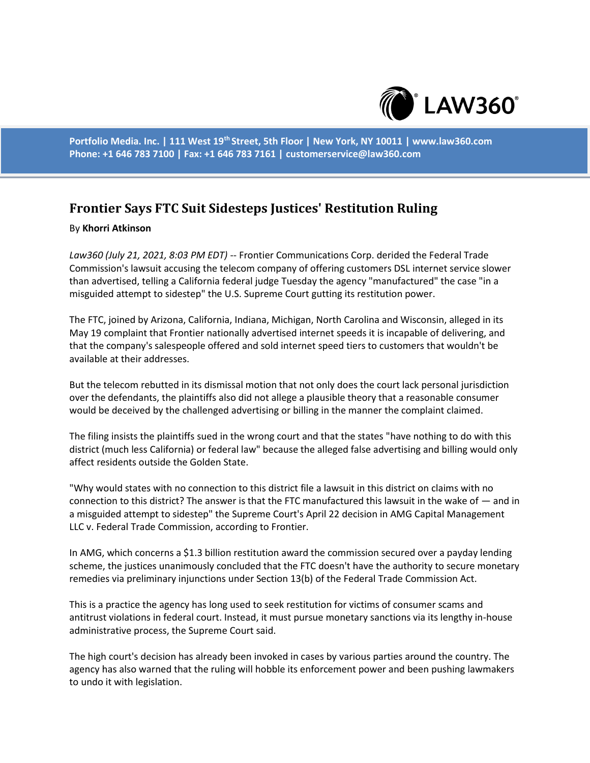

**Portfolio Media. Inc. | 111 West 19th Street, 5th Floor | New York, NY 10011 | www.law360.com Phone: +1 646 783 7100 | Fax: +1 646 783 7161 | customerservice@law360.com**

## **Frontier Says FTC Suit Sidesteps Justices' Restitution Ruling**

## By **Khorri Atkinson**

*Law360 (July 21, 2021, 8:03 PM EDT)* -- Frontier Communications Corp. derided the Federal Trade Commission's lawsuit accusing the telecom company of offering customers DSL internet service slower than advertised, telling a California federal judge Tuesday the agency "manufactured" the case "in a misguided attempt to sidestep" the U.S. Supreme Court gutting its restitution power.

The FTC, joined by Arizona, California, Indiana, Michigan, North Carolina and Wisconsin, alleged in its May 19 complaint that Frontier nationally advertised internet speeds it is incapable of delivering, and that the company's salespeople offered and sold internet speed tiers to customers that wouldn't be available at their addresses.

But the telecom rebutted in its dismissal motion that not only does the court lack personal jurisdiction over the defendants, the plaintiffs also did not allege a plausible theory that a reasonable consumer would be deceived by the challenged advertising or billing in the manner the complaint claimed.

The filing insists the plaintiffs sued in the wrong court and that the states "have nothing to do with this district (much less California) or federal law" because the alleged false advertising and billing would only affect residents outside the Golden State.

"Why would states with no connection to this district file a lawsuit in this district on claims with no connection to this district? The answer is that the FTC manufactured this lawsuit in the wake of — and in a misguided attempt to sidestep" the Supreme Court's April 22 decision in AMG Capital Management LLC v. Federal Trade Commission, according to Frontier.

In AMG, which concerns a \$1.3 billion restitution award the commission secured over a payday lending scheme, the justices unanimously concluded that the FTC doesn't have the authority to secure monetary remedies via preliminary injunctions under Section 13(b) of the Federal Trade Commission Act.

This is a practice the agency has long used to seek restitution for victims of consumer scams and antitrust violations in federal court. Instead, it must pursue monetary sanctions via its lengthy in-house administrative process, the Supreme Court said.

The high court's decision has already been invoked in cases by various parties around the country. The agency has also warned that the ruling will hobble its enforcement power and been pushing lawmakers to undo it with legislation.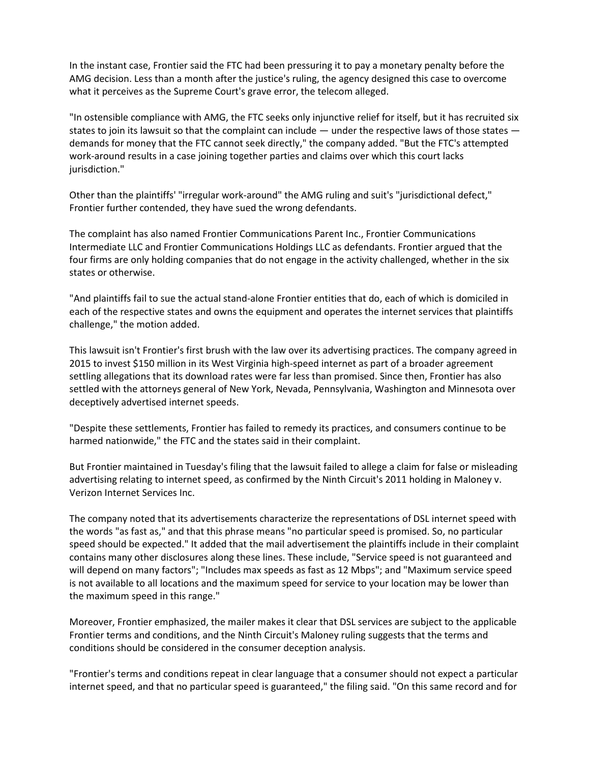In the instant case, Frontier said the FTC had been pressuring it to pay a monetary penalty before the AMG decision. Less than a month after the justice's ruling, the agency designed this case to overcome what it perceives as the Supreme Court's grave error, the telecom alleged.

"In ostensible compliance with AMG, the FTC seeks only injunctive relief for itself, but it has recruited six states to join its lawsuit so that the complaint can include — under the respective laws of those states demands for money that the FTC cannot seek directly," the company added. "But the FTC's attempted work-around results in a case joining together parties and claims over which this court lacks jurisdiction."

Other than the plaintiffs' "irregular work-around" the AMG ruling and suit's "jurisdictional defect," Frontier further contended, they have sued the wrong defendants.

The complaint has also named Frontier Communications Parent Inc., Frontier Communications Intermediate LLC and Frontier Communications Holdings LLC as defendants. Frontier argued that the four firms are only holding companies that do not engage in the activity challenged, whether in the six states or otherwise.

"And plaintiffs fail to sue the actual stand-alone Frontier entities that do, each of which is domiciled in each of the respective states and owns the equipment and operates the internet services that plaintiffs challenge," the motion added.

This lawsuit isn't Frontier's first brush with the law over its advertising practices. The company agreed in 2015 to invest \$150 million in its West Virginia high-speed internet as part of a broader agreement settling allegations that its download rates were far less than promised. Since then, Frontier has also settled with the attorneys general of New York, Nevada, Pennsylvania, Washington and Minnesota over deceptively advertised internet speeds.

"Despite these settlements, Frontier has failed to remedy its practices, and consumers continue to be harmed nationwide," the FTC and the states said in their complaint.

But Frontier maintained in Tuesday's filing that the lawsuit failed to allege a claim for false or misleading advertising relating to internet speed, as confirmed by the Ninth Circuit's 2011 holding in Maloney v. Verizon Internet Services Inc.

The company noted that its advertisements characterize the representations of DSL internet speed with the words "as fast as," and that this phrase means "no particular speed is promised. So, no particular speed should be expected." It added that the mail advertisement the plaintiffs include in their complaint contains many other disclosures along these lines. These include, "Service speed is not guaranteed and will depend on many factors"; "Includes max speeds as fast as 12 Mbps"; and "Maximum service speed is not available to all locations and the maximum speed for service to your location may be lower than the maximum speed in this range."

Moreover, Frontier emphasized, the mailer makes it clear that DSL services are subject to the applicable Frontier terms and conditions, and the Ninth Circuit's Maloney ruling suggests that the terms and conditions should be considered in the consumer deception analysis.

"Frontier's terms and conditions repeat in clear language that a consumer should not expect a particular internet speed, and that no particular speed is guaranteed," the filing said. "On this same record and for